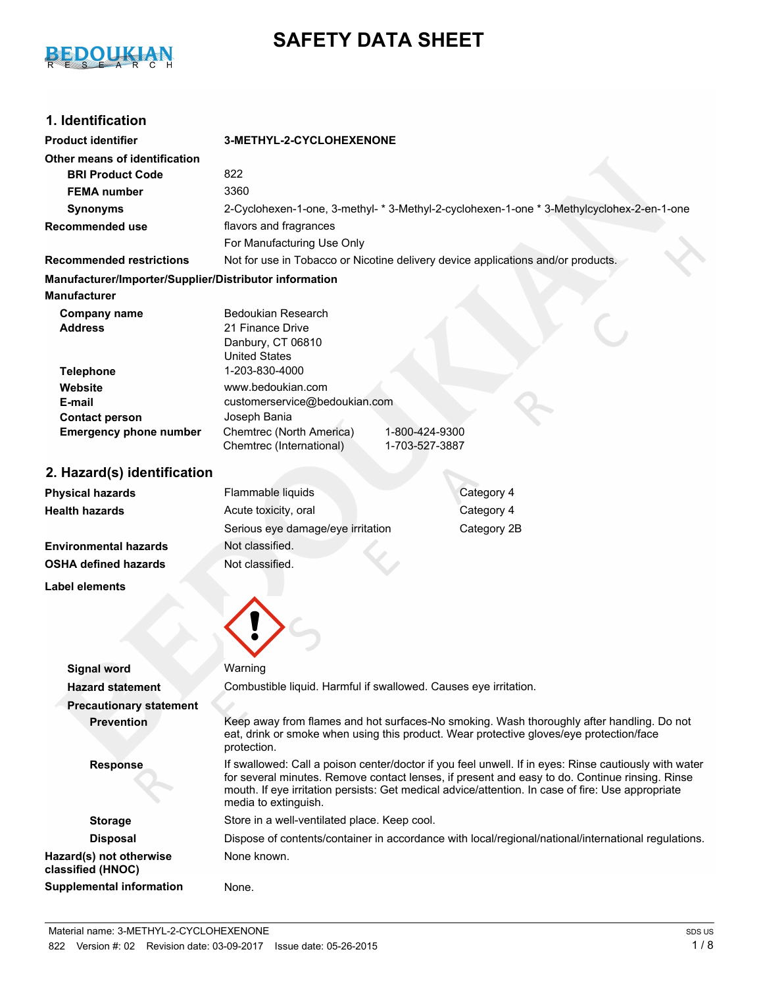

# **SAFETY DATA SHEET**

# **1. Identification**

| <b>Product identifier</b>                                 | 3-METHYL-2-CYCLOHEXENONE                                                                                                                                                                                                                                                                                                             |                                                                                                     |  |
|-----------------------------------------------------------|--------------------------------------------------------------------------------------------------------------------------------------------------------------------------------------------------------------------------------------------------------------------------------------------------------------------------------------|-----------------------------------------------------------------------------------------------------|--|
| Other means of identification                             |                                                                                                                                                                                                                                                                                                                                      |                                                                                                     |  |
| <b>BRI Product Code</b>                                   | 822                                                                                                                                                                                                                                                                                                                                  |                                                                                                     |  |
| <b>FEMA</b> number                                        | 3360                                                                                                                                                                                                                                                                                                                                 |                                                                                                     |  |
| <b>Synonyms</b>                                           |                                                                                                                                                                                                                                                                                                                                      | 2-Cyclohexen-1-one, 3-methyl- * 3-Methyl-2-cyclohexen-1-one * 3-Methylcyclohex-2-en-1-one           |  |
| <b>Recommended use</b>                                    | flavors and fragrances                                                                                                                                                                                                                                                                                                               |                                                                                                     |  |
|                                                           | For Manufacturing Use Only                                                                                                                                                                                                                                                                                                           |                                                                                                     |  |
| <b>Recommended restrictions</b>                           |                                                                                                                                                                                                                                                                                                                                      | Not for use in Tobacco or Nicotine delivery device applications and/or products.                    |  |
| Manufacturer/Importer/Supplier/Distributor information    |                                                                                                                                                                                                                                                                                                                                      |                                                                                                     |  |
| <b>Manufacturer</b>                                       |                                                                                                                                                                                                                                                                                                                                      |                                                                                                     |  |
| <b>Company name</b><br><b>Address</b><br><b>Telephone</b> | <b>Bedoukian Research</b><br>21 Finance Drive<br>Danbury, CT 06810<br><b>United States</b><br>1-203-830-4000                                                                                                                                                                                                                         |                                                                                                     |  |
| Website                                                   | www.bedoukian.com                                                                                                                                                                                                                                                                                                                    |                                                                                                     |  |
| E-mail                                                    | customerservice@bedoukian.com                                                                                                                                                                                                                                                                                                        |                                                                                                     |  |
| <b>Contact person</b>                                     | Joseph Bania                                                                                                                                                                                                                                                                                                                         |                                                                                                     |  |
| <b>Emergency phone number</b>                             | Chemtrec (North America)<br>Chemtrec (International)                                                                                                                                                                                                                                                                                 | 1-800-424-9300<br>1-703-527-3887                                                                    |  |
| 2. Hazard(s) identification                               |                                                                                                                                                                                                                                                                                                                                      |                                                                                                     |  |
| <b>Physical hazards</b>                                   | Flammable liquids                                                                                                                                                                                                                                                                                                                    | Category 4                                                                                          |  |
| <b>Health hazards</b>                                     | Acute toxicity, oral                                                                                                                                                                                                                                                                                                                 | Category 4                                                                                          |  |
|                                                           | Serious eye damage/eye irritation                                                                                                                                                                                                                                                                                                    | Category 2B                                                                                         |  |
| <b>Environmental hazards</b>                              | Not classified.                                                                                                                                                                                                                                                                                                                      |                                                                                                     |  |
| <b>OSHA defined hazards</b>                               | Not classified.                                                                                                                                                                                                                                                                                                                      |                                                                                                     |  |
| <b>Label elements</b>                                     |                                                                                                                                                                                                                                                                                                                                      |                                                                                                     |  |
| <b>Signal word</b>                                        | Warning                                                                                                                                                                                                                                                                                                                              |                                                                                                     |  |
| Hazard statement                                          | Combustible liquid. Harmful if swallowed. Causes eye irritation.                                                                                                                                                                                                                                                                     |                                                                                                     |  |
| <b>Precautionary statement</b>                            |                                                                                                                                                                                                                                                                                                                                      |                                                                                                     |  |
| <b>Prevention</b>                                         | Keep away from flames and hot surfaces-No smoking. Wash thoroughly after handling. Do not<br>eat, drink or smoke when using this product. Wear protective gloves/eye protection/face<br>protection.                                                                                                                                  |                                                                                                     |  |
| <b>Response</b>                                           | If swallowed: Call a poison center/doctor if you feel unwell. If in eyes: Rinse cautiously with water<br>for several minutes. Remove contact lenses, if present and easy to do. Continue rinsing. Rinse<br>mouth. If eye irritation persists: Get medical advice/attention. In case of fire: Use appropriate<br>media to extinguish. |                                                                                                     |  |
| <b>Storage</b>                                            | Store in a well-ventilated place. Keep cool.                                                                                                                                                                                                                                                                                         |                                                                                                     |  |
| <b>Disposal</b>                                           |                                                                                                                                                                                                                                                                                                                                      | Dispose of contents/container in accordance with local/regional/national/international regulations. |  |
| Hazard(s) not otherwise<br>classified (HNOC)              | None known.                                                                                                                                                                                                                                                                                                                          |                                                                                                     |  |
| <b>Supplemental information</b>                           | None.                                                                                                                                                                                                                                                                                                                                |                                                                                                     |  |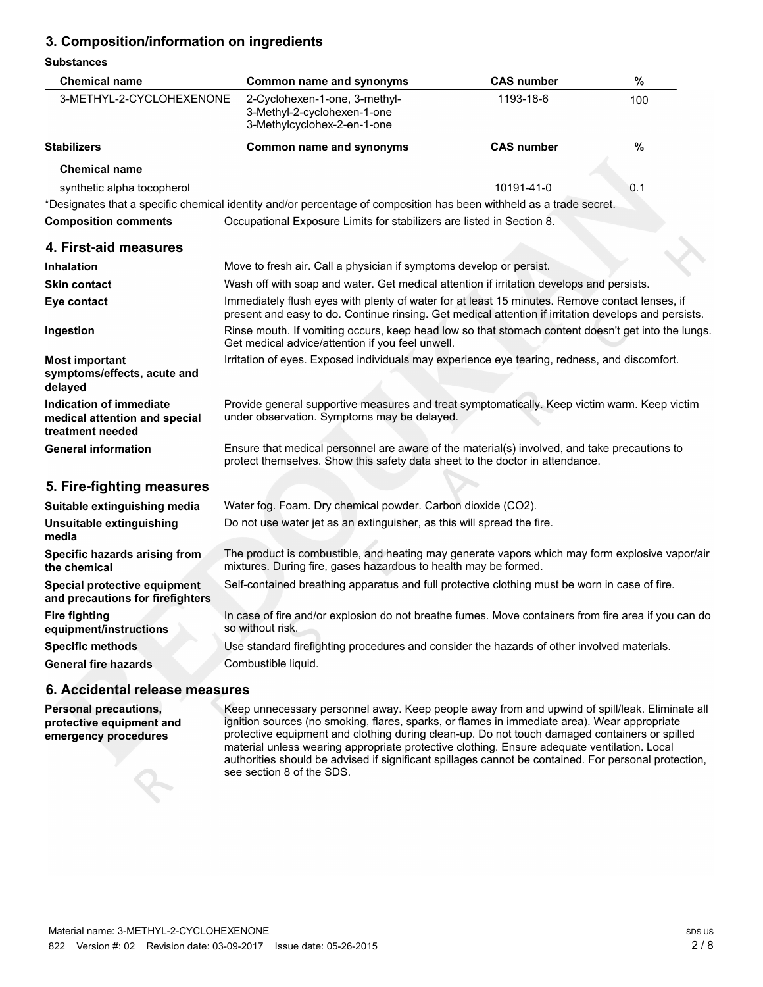# **3. Composition/information on ingredients**

#### **Substances**

| <b>Chemical name</b>                                                         | Common name and synonyms                                                                                                                                                                               | <b>CAS number</b> | $\%$          |
|------------------------------------------------------------------------------|--------------------------------------------------------------------------------------------------------------------------------------------------------------------------------------------------------|-------------------|---------------|
| 3-METHYL-2-CYCLOHEXENONE                                                     | 2-Cyclohexen-1-one, 3-methyl-<br>3-Methyl-2-cyclohexen-1-one<br>3-Methylcyclohex-2-en-1-one                                                                                                            | 1193-18-6         | 100           |
| <b>Stabilizers</b>                                                           | <b>Common name and synonyms</b>                                                                                                                                                                        | <b>CAS number</b> | $\frac{9}{6}$ |
| <b>Chemical name</b>                                                         |                                                                                                                                                                                                        |                   |               |
| synthetic alpha tocopherol                                                   |                                                                                                                                                                                                        | 10191-41-0        | 0.1           |
|                                                                              | *Designates that a specific chemical identity and/or percentage of composition has been withheld as a trade secret.                                                                                    |                   |               |
| <b>Composition comments</b>                                                  | Occupational Exposure Limits for stabilizers are listed in Section 8.                                                                                                                                  |                   |               |
| 4. First-aid measures                                                        |                                                                                                                                                                                                        |                   |               |
| <b>Inhalation</b>                                                            | Move to fresh air. Call a physician if symptoms develop or persist.                                                                                                                                    |                   |               |
| <b>Skin contact</b>                                                          | Wash off with soap and water. Get medical attention if irritation develops and persists.                                                                                                               |                   |               |
| Eye contact                                                                  | Immediately flush eyes with plenty of water for at least 15 minutes. Remove contact lenses, if<br>present and easy to do. Continue rinsing. Get medical attention if irritation develops and persists. |                   |               |
| Ingestion                                                                    | Rinse mouth. If vomiting occurs, keep head low so that stomach content doesn't get into the lungs.<br>Get medical advice/attention if you feel unwell.                                                 |                   |               |
| <b>Most important</b><br>symptoms/effects, acute and<br>delayed              | Irritation of eyes. Exposed individuals may experience eye tearing, redness, and discomfort.                                                                                                           |                   |               |
| Indication of immediate<br>medical attention and special<br>treatment needed | Provide general supportive measures and treat symptomatically. Keep victim warm. Keep victim<br>under observation. Symptoms may be delayed.                                                            |                   |               |
| <b>General information</b>                                                   | Ensure that medical personnel are aware of the material(s) involved, and take precautions to<br>protect themselves. Show this safety data sheet to the doctor in attendance.                           |                   |               |
| 5. Fire-fighting measures                                                    |                                                                                                                                                                                                        |                   |               |
| Suitable extinguishing media                                                 | Water fog. Foam. Dry chemical powder. Carbon dioxide (CO2).                                                                                                                                            |                   |               |
| Unsuitable extinguishing<br>media                                            | Do not use water jet as an extinguisher, as this will spread the fire.                                                                                                                                 |                   |               |
| Specific hazards arising from<br>the chemical                                | The product is combustible, and heating may generate vapors which may form explosive vapor/air<br>mixtures. During fire, gases hazardous to health may be formed.                                      |                   |               |
| Special protective equipment<br>and precautions for firefighters             | Self-contained breathing apparatus and full protective clothing must be worn in case of fire.                                                                                                          |                   |               |
| <b>Fire fighting</b><br>equipment/instructions                               | In case of fire and/or explosion do not breathe fumes. Move containers from fire area if you can do<br>so without risk.                                                                                |                   |               |
| <b>Specific methods</b>                                                      | Use standard firefighting procedures and consider the hazards of other involved materials.                                                                                                             |                   |               |
| <b>General fire hazards</b>                                                  | Combustible liquid.                                                                                                                                                                                    |                   |               |
| 6. Accidental release measures                                               |                                                                                                                                                                                                        |                   |               |

**Personal precautions, protective equipment and emergency procedures**

Keep unnecessary personnel away. Keep people away from and upwind of spill/leak. Eliminate all ignition sources (no smoking, flares, sparks, or flames in immediate area). Wear appropriate protective equipment and clothing during clean-up. Do not touch damaged containers or spilled material unless wearing appropriate protective clothing. Ensure adequate ventilation. Local authorities should be advised if significant spillages cannot be contained. For personal protection, see section 8 of the SDS.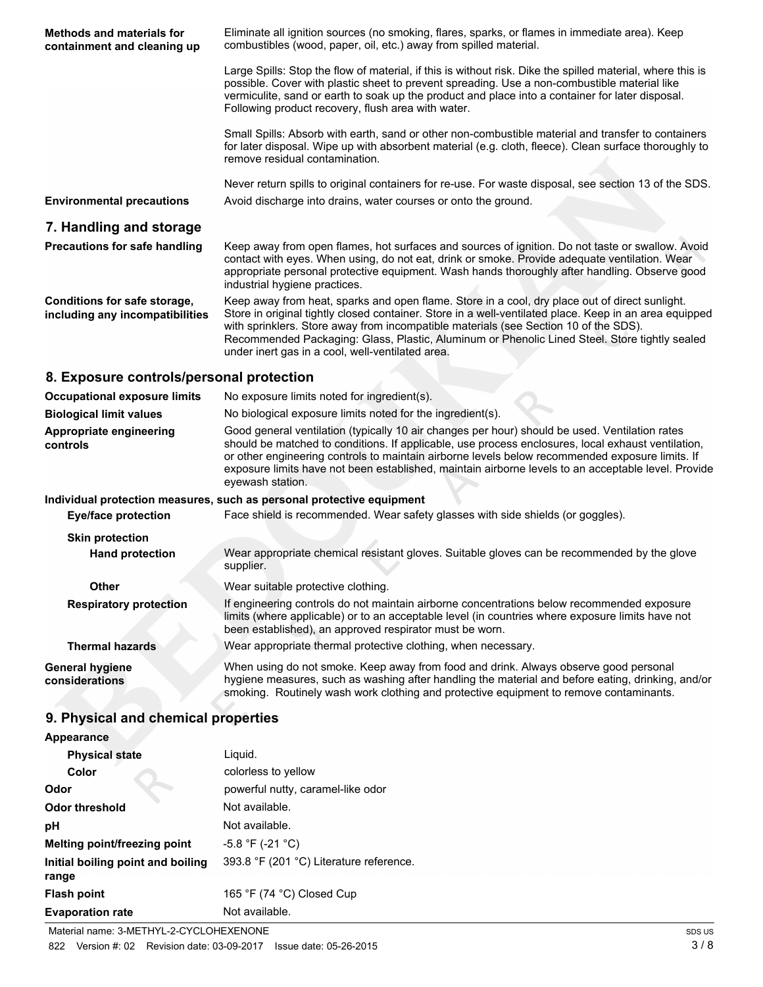| <b>Methods and materials for</b><br>containment and cleaning up | Eliminate all ignition sources (no smoking, flares, sparks, or flames in immediate area). Keep<br>combustibles (wood, paper, oil, etc.) away from spilled material.                                                                                                                                                                                                                                                                                   |
|-----------------------------------------------------------------|-------------------------------------------------------------------------------------------------------------------------------------------------------------------------------------------------------------------------------------------------------------------------------------------------------------------------------------------------------------------------------------------------------------------------------------------------------|
|                                                                 | Large Spills: Stop the flow of material, if this is without risk. Dike the spilled material, where this is<br>possible. Cover with plastic sheet to prevent spreading. Use a non-combustible material like<br>vermiculite, sand or earth to soak up the product and place into a container for later disposal.<br>Following product recovery, flush area with water.                                                                                  |
|                                                                 | Small Spills: Absorb with earth, sand or other non-combustible material and transfer to containers<br>for later disposal. Wipe up with absorbent material (e.g. cloth, fleece). Clean surface thoroughly to<br>remove residual contamination.                                                                                                                                                                                                         |
|                                                                 | Never return spills to original containers for re-use. For waste disposal, see section 13 of the SDS.                                                                                                                                                                                                                                                                                                                                                 |
| <b>Environmental precautions</b>                                | Avoid discharge into drains, water courses or onto the ground.                                                                                                                                                                                                                                                                                                                                                                                        |
| 7. Handling and storage                                         |                                                                                                                                                                                                                                                                                                                                                                                                                                                       |
| <b>Precautions for safe handling</b>                            | Keep away from open flames, hot surfaces and sources of ignition. Do not taste or swallow. Avoid<br>contact with eyes. When using, do not eat, drink or smoke. Provide adequate ventilation. Wear<br>appropriate personal protective equipment. Wash hands thoroughly after handling. Observe good<br>industrial hygiene practices.                                                                                                                   |
| Conditions for safe storage,<br>including any incompatibilities | Keep away from heat, sparks and open flame. Store in a cool, dry place out of direct sunlight.<br>Store in original tightly closed container. Store in a well-ventilated place. Keep in an area equipped<br>with sprinklers. Store away from incompatible materials (see Section 10 of the SDS).<br>Recommended Packaging: Glass, Plastic, Aluminum or Phenolic Lined Steel. Store tightly sealed<br>under inert gas in a cool, well-ventilated area. |
| 8. Exposure controls/personal protection                        |                                                                                                                                                                                                                                                                                                                                                                                                                                                       |
| <b>Occupational exposure limits</b>                             | No exposure limits noted for ingredient(s).                                                                                                                                                                                                                                                                                                                                                                                                           |
| <b>Biological limit values</b>                                  | No biological exposure limits noted for the ingredient(s).                                                                                                                                                                                                                                                                                                                                                                                            |
| Appropriate engineering<br>controls                             | Good general ventilation (typically 10 air changes per hour) should be used. Ventilation rates<br>should be matched to conditions. If applicable, use process enclosures, local exhaust ventilation,<br>or other engineering controls to maintain airborne levels below recommended exposure limits. If<br>exposure limits have not been established, maintain airborne levels to an acceptable level. Provide<br>eyewash station.                    |
|                                                                 | Individual protection measures, such as personal protective equipment                                                                                                                                                                                                                                                                                                                                                                                 |
| <b>Eye/face protection</b>                                      | Face shield is recommended. Wear safety glasses with side shields (or goggles).                                                                                                                                                                                                                                                                                                                                                                       |
| <b>Skin protection</b>                                          |                                                                                                                                                                                                                                                                                                                                                                                                                                                       |
| <b>Hand protection</b>                                          | Wear appropriate chemical resistant gloves. Suitable gloves can be recommended by the glove<br>supplier.                                                                                                                                                                                                                                                                                                                                              |
| <b>Other</b>                                                    | Wear suitable protective clothing.                                                                                                                                                                                                                                                                                                                                                                                                                    |
| <b>Respiratory protection</b>                                   | If engineering controls do not maintain airborne concentrations below recommended exposure<br>limits (where applicable) or to an acceptable level (in countries where exposure limits have not<br>been established), an approved respirator must be worn.                                                                                                                                                                                             |
| <b>Thermal hazards</b>                                          | Wear appropriate thermal protective clothing, when necessary.                                                                                                                                                                                                                                                                                                                                                                                         |
| <b>General hygiene</b><br>considerations                        | When using do not smoke. Keep away from food and drink. Always observe good personal<br>hygiene measures, such as washing after handling the material and before eating, drinking, and/or<br>smoking. Routinely wash work clothing and protective equipment to remove contaminants.                                                                                                                                                                   |
| 9. Physical and chemical properties                             |                                                                                                                                                                                                                                                                                                                                                                                                                                                       |
| <b>Appearance</b>                                               |                                                                                                                                                                                                                                                                                                                                                                                                                                                       |
| <b>Physical state</b>                                           | Liquid.                                                                                                                                                                                                                                                                                                                                                                                                                                               |
|                                                                 |                                                                                                                                                                                                                                                                                                                                                                                                                                                       |

| <b>Physical state</b>             | Liguid.                                 |
|-----------------------------------|-----------------------------------------|
| Color                             | colorless to yellow                     |
| Odor                              | powerful nutty, caramel-like odor       |
| Odor threshold                    | Not available.                          |
| рH                                | Not available.                          |
| Melting point/freezing point      | $-5.8$ °F (-21 °C)                      |
| Initial boiling point and boiling | 393.8 °F (201 °C) Literature reference. |
| range                             |                                         |
| <b>Flash point</b>                | 165 °F (74 °C) Closed Cup               |
| <b>Evaporation rate</b>           | Not available.                          |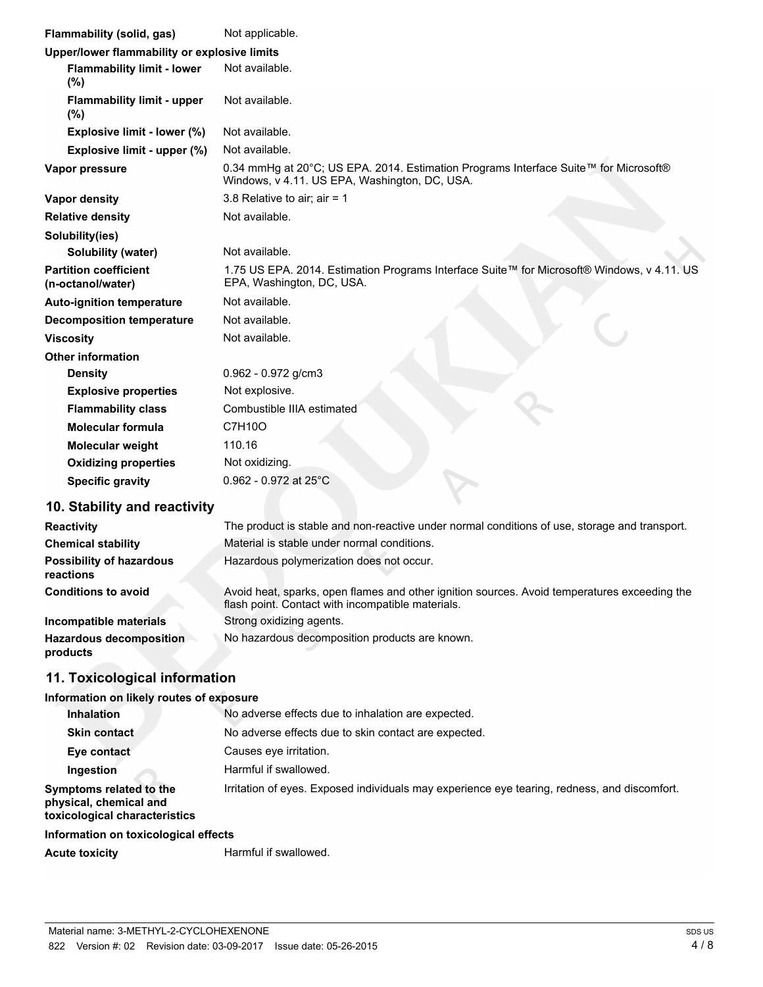| Flammability (solid, gas)                         | Not applicable.                                                                                                                       |
|---------------------------------------------------|---------------------------------------------------------------------------------------------------------------------------------------|
| Upper/lower flammability or explosive limits      |                                                                                                                                       |
| <b>Flammability limit - lower</b><br>(%)          | Not available.                                                                                                                        |
| <b>Flammability limit - upper</b><br>(%)          | Not available.                                                                                                                        |
| Explosive limit - lower (%)                       | Not available.                                                                                                                        |
| Explosive limit - upper (%)                       | Not available.                                                                                                                        |
| Vapor pressure                                    | 0.34 mmHg at 20°C; US EPA. 2014. Estimation Programs Interface Suite™ for Microsoft®<br>Windows, v 4.11. US EPA, Washington, DC, USA. |
| <b>Vapor density</b>                              | 3.8 Relative to air; air = $1$                                                                                                        |
| <b>Relative density</b>                           | Not available.                                                                                                                        |
| Solubility(ies)                                   |                                                                                                                                       |
| Solubility (water)                                | Not available.                                                                                                                        |
| <b>Partition coefficient</b><br>(n-octanol/water) | 1.75 US EPA. 2014. Estimation Programs Interface Suite™ for Microsoft® Windows, v 4.11. US<br>EPA, Washington, DC, USA.               |
| <b>Auto-ignition temperature</b>                  | Not available.                                                                                                                        |
| <b>Decomposition temperature</b>                  | Not available.                                                                                                                        |
| <b>Viscosity</b>                                  | Not available.                                                                                                                        |
| <b>Other information</b>                          |                                                                                                                                       |
| <b>Density</b>                                    | $0.962 - 0.972$ g/cm3                                                                                                                 |
| <b>Explosive properties</b>                       | Not explosive.                                                                                                                        |
| <b>Flammability class</b>                         | Combustible IIIA estimated                                                                                                            |
| <b>Molecular formula</b>                          | C7H10O                                                                                                                                |
| <b>Molecular weight</b>                           | 110.16                                                                                                                                |
| <b>Oxidizing properties</b>                       | Not oxidizing.                                                                                                                        |
| <b>Specific gravity</b>                           | $0.962 - 0.972$ at 25°C                                                                                                               |
| Ctability and reactivity                          |                                                                                                                                       |

# **10. Stability and reactivity**

| The product is stable and non-reactive under normal conditions of use, storage and transport.                                                     |
|---------------------------------------------------------------------------------------------------------------------------------------------------|
| Material is stable under normal conditions.                                                                                                       |
| Hazardous polymerization does not occur.                                                                                                          |
| Avoid heat, sparks, open flames and other ignition sources. Avoid temperatures exceeding the<br>flash point. Contact with incompatible materials. |
| Strong oxidizing agents.                                                                                                                          |
| No hazardous decomposition products are known.                                                                                                    |
|                                                                                                                                                   |

# **11. Toxicological information**

# **Information on likely routes of exposure**

| <b>Inhalation</b>                                                                  | No adverse effects due to inhalation are expected.                                           |  |  |
|------------------------------------------------------------------------------------|----------------------------------------------------------------------------------------------|--|--|
| <b>Skin contact</b>                                                                | No adverse effects due to skin contact are expected.                                         |  |  |
| Eye contact                                                                        | Causes eve irritation.                                                                       |  |  |
| Ingestion                                                                          | Harmful if swallowed.                                                                        |  |  |
| Symptoms related to the<br>physical, chemical and<br>toxicological characteristics | Irritation of eyes. Exposed individuals may experience eye tearing, redness, and discomfort. |  |  |
| Information on toxicological effects                                               |                                                                                              |  |  |
| <b>Acute toxicity</b>                                                              | Harmful if swallowed.                                                                        |  |  |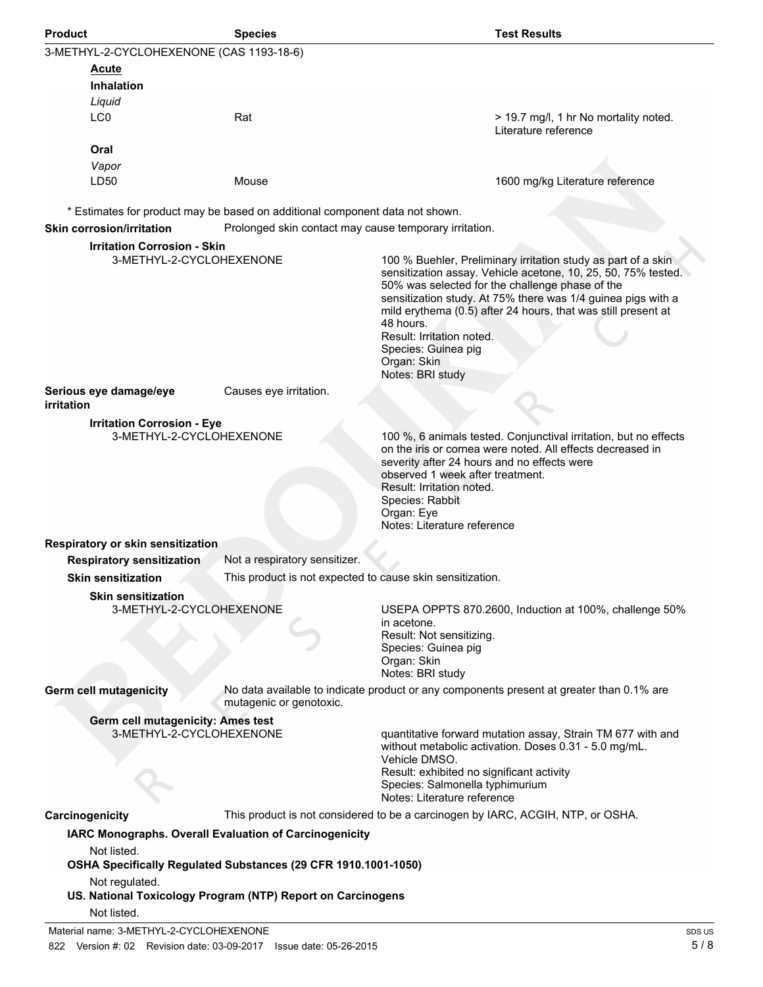| <b>Product</b>                                                | <b>Species</b>                                                                                                                         | <b>Test Results</b>                                                                                                                                                                                                                                                                                                                                                                                                    |
|---------------------------------------------------------------|----------------------------------------------------------------------------------------------------------------------------------------|------------------------------------------------------------------------------------------------------------------------------------------------------------------------------------------------------------------------------------------------------------------------------------------------------------------------------------------------------------------------------------------------------------------------|
| 3-METHYL-2-CYCLOHEXENONE (CAS 1193-18-6)                      |                                                                                                                                        |                                                                                                                                                                                                                                                                                                                                                                                                                        |
| Acute<br><b>Inhalation</b>                                    |                                                                                                                                        |                                                                                                                                                                                                                                                                                                                                                                                                                        |
| Liquid<br>LC0                                                 | Rat                                                                                                                                    | > 19.7 mg/l, 1 hr No mortality noted.<br>Literature reference                                                                                                                                                                                                                                                                                                                                                          |
| Oral<br>Vapor                                                 |                                                                                                                                        |                                                                                                                                                                                                                                                                                                                                                                                                                        |
| LD50                                                          | Mouse                                                                                                                                  | 1600 mg/kg Literature reference                                                                                                                                                                                                                                                                                                                                                                                        |
| <b>Skin corrosion/irritation</b>                              | * Estimates for product may be based on additional component data not shown.<br>Prolonged skin contact may cause temporary irritation. |                                                                                                                                                                                                                                                                                                                                                                                                                        |
| <b>Irritation Corrosion - Skin</b>                            |                                                                                                                                        |                                                                                                                                                                                                                                                                                                                                                                                                                        |
| 3-METHYL-2-CYCLOHEXENONE                                      |                                                                                                                                        | 100 % Buehler, Preliminary irritation study as part of a skin<br>sensitization assay. Vehicle acetone, 10, 25, 50, 75% tested.<br>50% was selected for the challenge phase of the<br>sensitization study. At 75% there was 1/4 guinea pigs with a<br>mild erythema (0.5) after 24 hours, that was still present at<br>48 hours.<br>Result: Irritation noted.<br>Species: Guinea pig<br>Organ: Skin<br>Notes: BRI study |
| Serious eye damage/eye<br>irritation                          | Causes eye irritation.                                                                                                                 |                                                                                                                                                                                                                                                                                                                                                                                                                        |
| <b>Irritation Corrosion - Eye</b><br>3-METHYL-2-CYCLOHEXENONE |                                                                                                                                        | 100 %, 6 animals tested. Conjunctival irritation, but no effects<br>on the iris or cornea were noted. All effects decreased in<br>severity after 24 hours and no effects were<br>observed 1 week after treatment.<br>Result: Irritation noted.<br>Species: Rabbit<br>Organ: Eye                                                                                                                                        |
| Respiratory or skin sensitization                             |                                                                                                                                        | Notes: Literature reference                                                                                                                                                                                                                                                                                                                                                                                            |
| <b>Respiratory sensitization</b>                              | Not a respiratory sensitizer.                                                                                                          |                                                                                                                                                                                                                                                                                                                                                                                                                        |
| <b>Skin sensitization</b>                                     | This product is not expected to cause skin sensitization.                                                                              |                                                                                                                                                                                                                                                                                                                                                                                                                        |
| <b>Skin sensitization</b><br>3-METHYL-2-CYCLOHEXENONE         |                                                                                                                                        | USEPA OPPTS 870.2600, Induction at 100%, challenge 50%<br>in acetone.<br>Result: Not sensitizing.<br>Species: Guinea pig<br>Organ: Skin<br>Notes: BRI study                                                                                                                                                                                                                                                            |
| <b>Germ cell mutagenicity</b>                                 | mutagenic or genotoxic.                                                                                                                | No data available to indicate product or any components present at greater than 0.1% are                                                                                                                                                                                                                                                                                                                               |
| Germ cell mutagenicity: Ames test                             |                                                                                                                                        |                                                                                                                                                                                                                                                                                                                                                                                                                        |
| 3-METHYL-2-CYCLOHEXENONE                                      |                                                                                                                                        | quantitative forward mutation assay, Strain TM 677 with and<br>without metabolic activation. Doses 0.31 - 5.0 mg/mL.<br>Vehicle DMSO.<br>Result: exhibited no significant activity<br>Species: Salmonella typhimurium<br>Notes: Literature reference                                                                                                                                                                   |
| Carcinogenicity                                               |                                                                                                                                        | This product is not considered to be a carcinogen by IARC, ACGIH, NTP, or OSHA.                                                                                                                                                                                                                                                                                                                                        |
| Not listed.<br>Not regulated.                                 | IARC Monographs. Overall Evaluation of Carcinogenicity<br>OSHA Specifically Regulated Substances (29 CFR 1910.1001-1050)               |                                                                                                                                                                                                                                                                                                                                                                                                                        |
| Not listed.                                                   | US. National Toxicology Program (NTP) Report on Carcinogens                                                                            |                                                                                                                                                                                                                                                                                                                                                                                                                        |
| Material name: 3-METHYL-2-CYCLOHEXENONE                       |                                                                                                                                        | SDS <sub>L</sub>                                                                                                                                                                                                                                                                                                                                                                                                       |

822 Version #: 02 Revision date: 03-09-2017 Issue date: 05-26-2015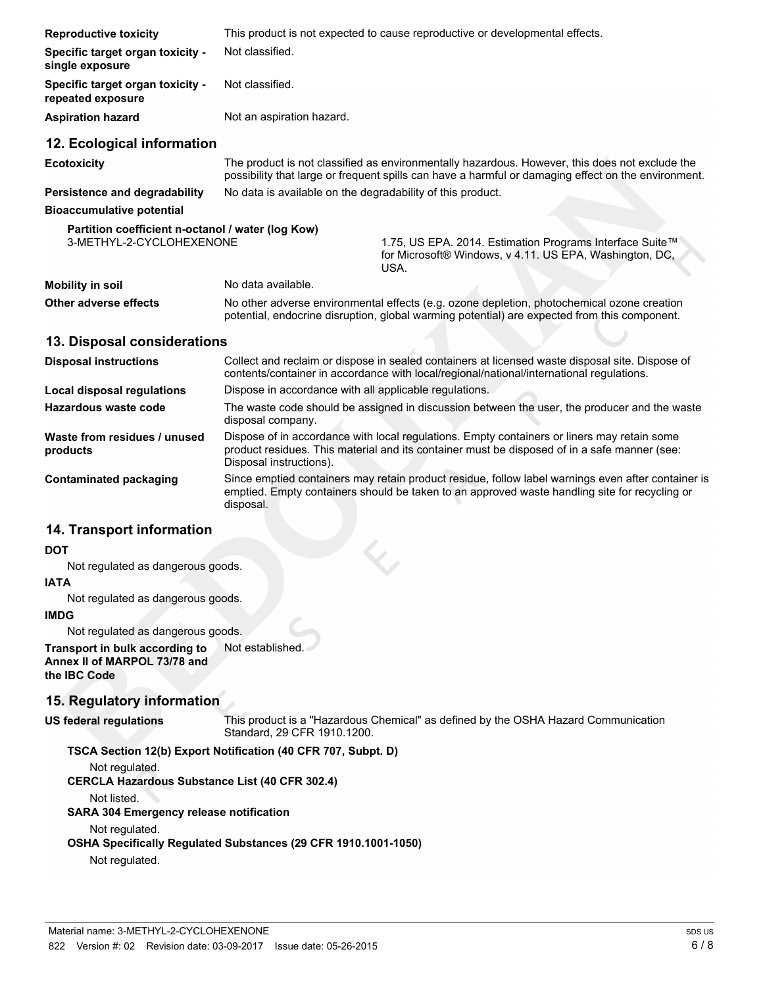| <b>Reproductive toxicity</b>                                                  | This product is not expected to cause reproductive or developmental effects.                                                                                                                          |                                                                                                                             |  |
|-------------------------------------------------------------------------------|-------------------------------------------------------------------------------------------------------------------------------------------------------------------------------------------------------|-----------------------------------------------------------------------------------------------------------------------------|--|
| Specific target organ toxicity -<br>single exposure                           | Not classified.                                                                                                                                                                                       |                                                                                                                             |  |
| Specific target organ toxicity -<br>repeated exposure                         | Not classified.                                                                                                                                                                                       |                                                                                                                             |  |
| <b>Aspiration hazard</b>                                                      | Not an aspiration hazard.                                                                                                                                                                             |                                                                                                                             |  |
| 12. Ecological information                                                    |                                                                                                                                                                                                       |                                                                                                                             |  |
| <b>Ecotoxicity</b>                                                            | The product is not classified as environmentally hazardous. However, this does not exclude the<br>possibility that large or frequent spills can have a harmful or damaging effect on the environment. |                                                                                                                             |  |
| Persistence and degradability                                                 | No data is available on the degradability of this product.                                                                                                                                            |                                                                                                                             |  |
| <b>Bioaccumulative potential</b>                                              |                                                                                                                                                                                                       |                                                                                                                             |  |
| Partition coefficient n-octanol / water (log Kow)<br>3-METHYL-2-CYCLOHEXENONE |                                                                                                                                                                                                       | 1.75, US EPA. 2014. Estimation Programs Interface Suite™<br>for Microsoft® Windows, v 4.11. US EPA, Washington, DC,<br>USA. |  |
| <b>Mobility in soil</b>                                                       | No data available.                                                                                                                                                                                    |                                                                                                                             |  |
| Other adverse effects                                                         | No other adverse environmental effects (e.g. ozone depletion, photochemical ozone creation<br>potential, endocrine disruption, global warming potential) are expected from this component.            |                                                                                                                             |  |
| 13. Disposal considerations                                                   |                                                                                                                                                                                                       |                                                                                                                             |  |

| <b>Disposal instructions</b>             | Collect and reclaim or dispose in sealed containers at licensed waste disposal site. Dispose of<br>contents/container in accordance with local/regional/national/international regulations.                            |
|------------------------------------------|------------------------------------------------------------------------------------------------------------------------------------------------------------------------------------------------------------------------|
| Local disposal regulations               | Dispose in accordance with all applicable regulations.                                                                                                                                                                 |
| Hazardous waste code                     | The waste code should be assigned in discussion between the user, the producer and the waste<br>disposal company.                                                                                                      |
| Waste from residues / unused<br>products | Dispose of in accordance with local regulations. Empty containers or liners may retain some<br>product residues. This material and its container must be disposed of in a safe manner (see:<br>Disposal instructions). |
| Contaminated packaging                   | Since emptied containers may retain product residue, follow label warnings even after container is<br>emptied. Empty containers should be taken to an approved waste handling site for recycling or<br>disposal.       |

# **14. Transport information**

#### **DOT**

Not regulated as dangerous goods.

#### **IATA**

Not regulated as dangerous goods.

#### **IMDG**

Not regulated as dangerous goods. **Transport in bulk according to** Not established.

**Annex II of MARPOL 73/78 and the IBC Code**

#### **15. Regulatory information**

**US federal regulations**

This product is a "Hazardous Chemical" as defined by the OSHA Hazard Communication Standard, 29 CFR 1910.1200.

#### **TSCA Section 12(b) Export Notification (40 CFR 707, Subpt. D)**

Not regulated.

**CERCLA Hazardous Substance List (40 CFR 302.4)**

Not listed.

**SARA 304 Emergency release notification**

#### Not regulated.

**OSHA Specifically Regulated Substances (29 CFR 1910.1001-1050)**

Not regulated.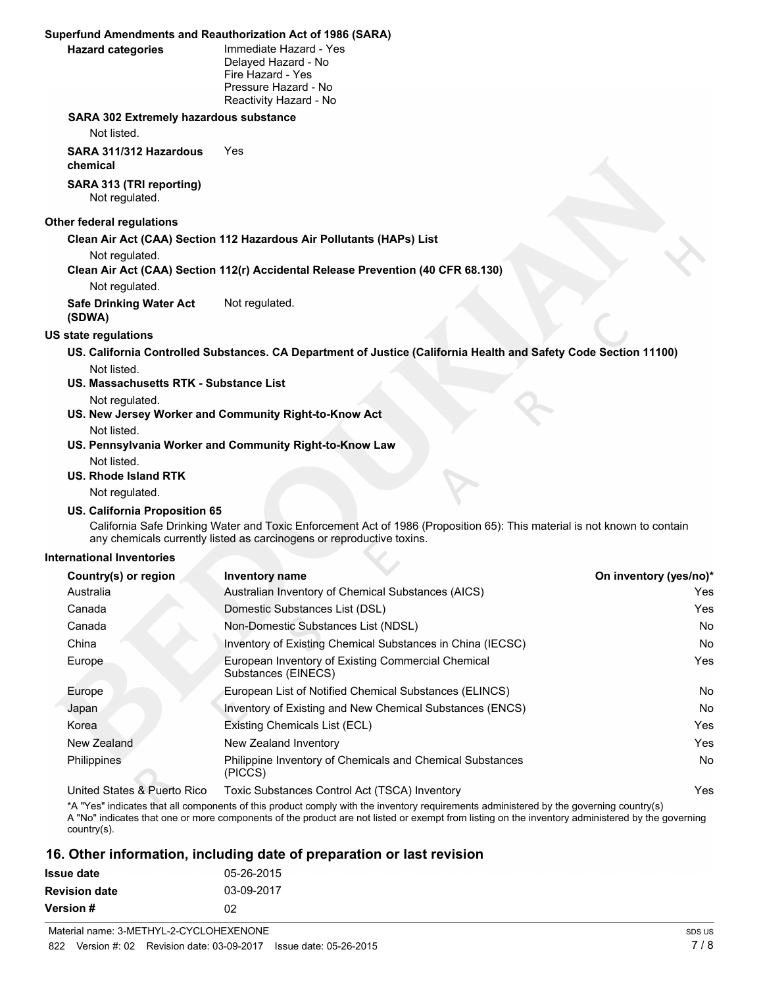#### **Superfund Amendments and Reauthorization Act of 1986 (SARA)**

#### **Hazard categories**

Immediate Hazard - Yes Delayed Hazard - No Fire Hazard - Yes Pressure Hazard - No Reactivity Hazard - No

#### **SARA 302 Extremely hazardous substance**

Not listed.

**SARA 311/312 Hazardous** Yes **chemical**

**SARA 313 (TRI reporting)** Not regulated.

### **Other federal regulations**

**Clean Air Act (CAA) Section 112 Hazardous Air Pollutants (HAPs) List**

Not regulated.

**Clean Air Act (CAA) Section 112(r) Accidental Release Prevention (40 CFR 68.130)**

Not regulated.

**Safe Drinking Water Act** Not regulated. **(SDWA)**

#### **US state regulations**

**US. California Controlled Substances. CA Department of Justice (California Health and Safety Code Section 11100)** Not listed.

**US. Massachusetts RTK - Substance List**

Not regulated.

**US. New Jersey Worker and Community Right-to-Know Act**

#### Not listed.

**US. Pennsylvania Worker and Community Right-to-Know Law** Not listed.

#### **US. Rhode Island RTK**

Not regulated.

#### **US. California Proposition 65**

California Safe Drinking Water and Toxic Enforcement Act of 1986 (Proposition 65): This material is not known to contain any chemicals currently listed as carcinogens or reproductive toxins.

#### **International Inventories**

| Country(s) or region         | <b>Inventory name</b>                                                     | On inventory (yes/no)* |
|------------------------------|---------------------------------------------------------------------------|------------------------|
| Australia                    | Australian Inventory of Chemical Substances (AICS)                        | Yes                    |
| Canada                       | Domestic Substances List (DSL)                                            | Yes                    |
| Canada                       | Non-Domestic Substances List (NDSL)                                       | <b>No</b>              |
| China                        | Inventory of Existing Chemical Substances in China (IECSC)                | No.                    |
| Europe                       | European Inventory of Existing Commercial Chemical<br>Substances (EINECS) | Yes                    |
| Europe                       | European List of Notified Chemical Substances (ELINCS)                    | <b>No</b>              |
| Japan                        | Inventory of Existing and New Chemical Substances (ENCS)                  | No.                    |
| Korea                        | Existing Chemicals List (ECL)                                             | Yes                    |
| New Zealand                  | New Zealand Inventory                                                     | Yes                    |
| Philippines                  | Philippine Inventory of Chemicals and Chemical Substances<br>(PICCS)      | <b>No</b>              |
| Linited Ctates & Duarte Dies | $Tavi2$ Cubetanese Control A of $(TCCA)$ Inventory                        | $V_{\alpha\alpha}$     |

United States & Puerto Rico Toxic Substances Control Act (TSCA) Inventory

\*A "Yes" indicates that all components of this product comply with the inventory requirements administered by the governing country(s) A "No" indicates that one or more components of the product are not listed or exempt from listing on the inventory administered by the governing country(s).

## **16. Other information, including date of preparation or last revision**

| Issue date           | 05-26-2015 |
|----------------------|------------|
| <b>Revision date</b> | 03-09-2017 |
| Version #            | 02         |